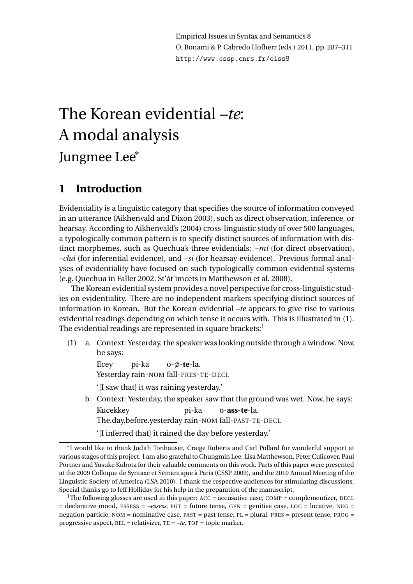Empirical Issues in Syntax and Semantics 8 O. Bonami & P. Cabredo Hofherr (eds.) 2011, pp. 287–311 http://www.cssp.cnrs.fr/eiss8

# The Korean evidential *–te*: A modal analysis Jungmee Lee<sup>∗</sup>

### **1 Introduction**

Evidentiality is a linguistic category that specifies the source of information conveyed in an utterance (Aikhenvald and Dixon 2003), such as direct observation, inference, or hearsay. According to Aikhenvald's (2004) cross-linguistic study of over 500 languages, a typologically common pattern is to specify distinct sources of information with distinct morphemes, such as Quechua's three evidentials: *–mi* (for direct observation), *–chá* (for inferential evidence), and *–si* (for hearsay evidence). Previous formal analyses of evidentiality have focused on such typologically common evidential systems (e.g. Quechua in Faller 2002, St'át'imcets in Matthewson et al. 2008).

The Korean evidential system provides a novel perspective for cross-linguistic studies on evidentiality. There are no independent markers specifying distinct sources of information in Korean. But the Korean evidential *–te* appears to give rise to various evidential readings depending on which tense it occurs with. This is illustrated in (1). The evidential readings are represented in square brackets: $^{\rm l}$ 

(1) a. Context: Yesterday, the speaker was looking outside through a window. Now, he says:

> Ecey Yesterday rain-NOM fall-PRES-TE-DECL pi-ka o- $\phi$ -te-la. '[I saw that] it was raining yesterday.'

b. Context: Yesterday, the speaker saw that the ground was wet. Now, he says: Kucekkey The.day.before.yesterday rain-NOM fall-PAST-TE-DECL pi-ka o-**ass-te**-la.

'[I inferred that] it rained the day before yesterday.'

<sup>∗</sup> I would like to thank Judith Tonhauser, Craige Roberts and Carl Pollard for wonderful support at various stages of this project. I am also grateful to Chungmin Lee, Lisa Matthewson, Peter Culicover, Paul Portner and Yusuke Kubota for their valuable comments on this work. Parts of this paper were presented at the 2009 Colloque de Syntaxe et Sémantique à Paris (CSSP 2009), and the 2010 Annual Meeting of the Linguistic Society of America (LSA 2010). I thank the respective audiences for stimulating discussions. Special thanks go to Jeff Holliday for his help in the preparation of the manuscript.

<sup>&</sup>lt;sup>1</sup>The following glosses are used in this paper:  $ACC = accusative case$ ,  $COMP = complementizer$ ,  $DECL$  $=$  declarative mood, ESSESS =  $-$ essess, FUT = future tense, GEN = genitive case, LOC = locative, NEG = negation particle, NOM = nominative case, PAST = past tense, PL = plural, PRES = present tense, PROG = progressive aspect, REL = relativizer, TE = *–te*, TOP = topic marker.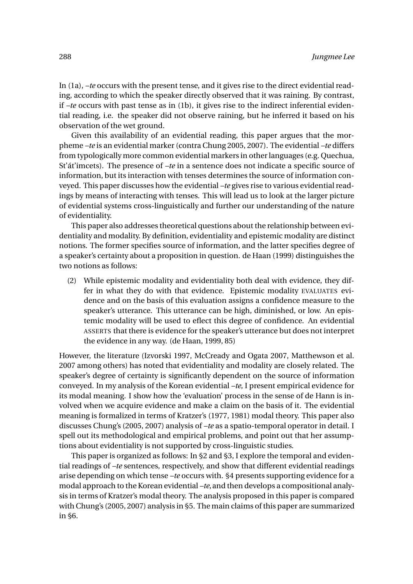In (1a), *–te* occurs with the present tense, and it gives rise to the direct evidential reading, according to which the speaker directly observed that it was raining. By contrast, if *–te* occurs with past tense as in (1b), it gives rise to the indirect inferential evidential reading, i.e. the speaker did not observe raining, but he inferred it based on his observation of the wet ground.

Given this availability of an evidential reading, this paper argues that the morpheme *–te* is an evidential marker (contra Chung 2005, 2007). The evidential *–te* differs from typologically more common evidential markers in otherlanguages (e.g. Quechua, St'át'imcets). The presence of *–te* in a sentence does not indicate a specific source of information, but its interaction with tenses determines the source of information conveyed. This paper discusses how the evidential *–te* gives rise to various evidential readings by means of interacting with tenses. This will lead us to look at the larger picture of evidential systems cross-linguistically and further our understanding of the nature of evidentiality.

This paper also addresses theoretical questions about the relationship between evidentiality and modality. By definition, evidentiality and epistemic modality are distinct notions. The former specifies source of information, and the latter specifies degree of a speaker's certainty about a proposition in question. de Haan (1999) distinguishes the two notions as follows:

(2) While epistemic modality and evidentiality both deal with evidence, they differ in what they do with that evidence. Epistemic modality EVALUATES evidence and on the basis of this evaluation assigns a confidence measure to the speaker's utterance. This utterance can be high, diminished, or low. An epistemic modality will be used to eflect this degree of confidence. An evidential ASSERTS that there is evidence for the speaker's utterance but does not interpret the evidence in any way. (de Haan, 1999, 85)

However, the literature (Izvorski 1997, McCready and Ogata 2007, Matthewson et al. 2007 among others) has noted that evidentiality and modality are closely related. The speaker's degree of certainty is significantly dependent on the source of information conveyed. In my analysis of the Korean evidential *–te*, I present empirical evidence for its modal meaning. I show how the 'evaluation' process in the sense of de Hann is involved when we acquire evidence and make a claim on the basis of it. The evidential meaning is formalized in terms of Kratzer's (1977, 1981) modal theory. This paper also discusses Chung's (2005, 2007) analysis of *–te* as a spatio-temporal operator in detail. I spell out its methodological and empirical problems, and point out that her assumptions about evidentiality is not supported by cross-linguistic studies.

This paper is organized as follows: In §2 and §3, I explore the temporal and evidential readings of *–te* sentences, respectively, and show that different evidential readings arise depending on which tense *–te* occurs with. §4 presents supporting evidence for a modal approach to the Korean evidential *–te*, and then develops a compositional analysis in terms of Kratzer's modal theory. The analysis proposed in this paper is compared with Chung's (2005, 2007) analysis in §5. The main claims of this paper are summarized in §6.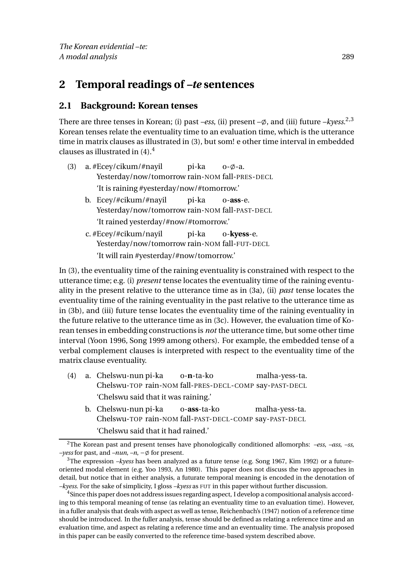### **2 Temporal readings of** *–te* **sentences**

#### **2.1 Background: Korean tenses**

There are three tenses in Korean; (i) past *–ess*, (ii) present –ø, and (iii) future *–kyess*.<sup>2,3</sup> Korean tenses relate the eventuality time to an evaluation time, which is the utterance time in matrix clauses as illustrated in (3), but som! e other time interval in embedded clauses as illustrated in  $(4)$ .<sup>4</sup>

- (3) a. #Ecey/cikum/#nayil Yesterday/now/tomorrow rain-NOM fall-PRES-DECL pi-ka  $o$ - $\emptyset$ -a. 'It is raining #yesterday/now/#tomorrow.'
	- b. Ecey/#cikum/#nayil Yesterday/now/tomorrow rain-NOM fall-PAST-DECL pi-ka o-**ass**-e. 'It rained yesterday/#now/#tomorrow.'
	- c. #Ecey/#cikum/nayil Yesterday/now/tomorrow rain-NOM fall-FUT-DECL pi-ka o-**kyess**-e. 'It will rain #yesterday/#now/tomorrow.'

In (3), the eventuality time of the raining eventuality is constrained with respect to the utterance time; e.g. (i) *present* tense locates the eventuality time of the raining eventuality in the present relative to the utterance time as in (3a), (ii) *past* tense locates the eventuality time of the raining eventuality in the past relative to the utterance time as in (3b), and (iii) future tense locates the eventuality time of the raining eventuality in the future relative to the utterance time as in (3c). However, the evaluation time of Korean tenses in embedding constructions is *not* the utterance time, but some other time interval (Yoon 1996, Song 1999 among others). For example, the embedded tense of a verbal complement clauses is interpreted with respect to the eventuality time of the matrix clause eventuality.

- (4) a. Chelswu-nun pi-ka Chelswu-TOP rain-NOM fall-PRES-DECL-COMP say-PAST-DECL o-**n**-ta-ko malha-yess-ta. 'Chelswu said that it was raining.'
	- b. Chelswu-nun pi-ka Chelswu-TOP rain-NOM fall-PAST-DECL-COMP say-PAST-DECL o-**ass**-ta-ko malha-yess-ta. 'Chelswu said that it had rained.'

<sup>2</sup>The Korean past and present tenses have phonologically conditioned allomorphs: *–ess*, *–ass*, *–ss*, *–yess* for past, and *–nun*, *–n*, − $\emptyset$  for present.

<sup>3</sup>The expression *–kyess* has been analyzed as a future tense (e.g. Song 1967, Kim 1992) or a futureoriented modal element (e.g. Yoo 1993, An 1980). This paper does not discuss the two approaches in detail, but notice that in either analysis, a futurate temporal meaning is encoded in the denotation of *–kyess*. For the sake of simplicity, I gloss *–kyess* as FUT in this paper without further discussion.

<sup>&</sup>lt;sup>4</sup>Since this paper does not address issues regarding aspect, I develop a compositional analysis according to this temporal meaning of tense (as relating an eventuality time to an evaluation time). However, in a fuller analysis that deals with aspect as well as tense, Reichenbach's (1947) notion of a reference time should be introduced. In the fuller analysis, tense should be defined as relating a reference time and an evaluation time, and aspect as relating a reference time and an eventuality time. The analysis proposed in this paper can be easily converted to the reference time-based system described above.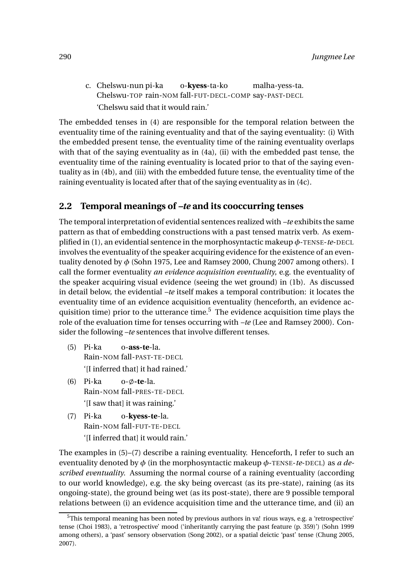c. Chelswu-nun pi-ka Chelswu-TOP rain-NOM fall-FUT-DECL-COMP say-PAST-DECL o-**kyess**-ta-ko malha-yess-ta. 'Chelswu said that it would rain.'

The embedded tenses in (4) are responsible for the temporal relation between the eventuality time of the raining eventuality and that of the saying eventuality: (i) With the embedded present tense, the eventuality time of the raining eventuality overlaps with that of the saying eventuality as in (4a), (ii) with the embedded past tense, the eventuality time of the raining eventuality is located prior to that of the saying eventuality as in (4b), and (iii) with the embedded future tense, the eventuality time of the raining eventuality is located after that of the saying eventuality as in (4c).

#### **2.2 Temporal meanings of** *–te* **and its cooccurring tenses**

The temporal interpretation of evidential sentences realized with *–te* exhibits the same pattern as that of embedding constructions with a past tensed matrix verb. As exemplified in (1), an evidential sentence in the morphosyntactic makeup *φ*-TENSE-*te*-DECL involves the eventuality of the speaker acquiring evidence for the existence of an eventuality denoted by *φ* (Sohn 1975, Lee and Ramsey 2000, Chung 2007 among others). I call the former eventuality *an evidence acquisition eventuality*, e.g. the eventuality of the speaker acquiring visual evidence (seeing the wet ground) in (1b). As discussed in detail below, the evidential *–te* itself makes a temporal contribution: it locates the eventuality time of an evidence acquisition eventuality (henceforth, an evidence acquisition time) prior to the utterance time.<sup>5</sup> The evidence acquisition time plays the role of the evaluation time for tenses occurring with *–te* (Lee and Ramsey 2000). Consider the following *–te* sentences that involve different tenses.

- (5) Pi-ka Rain-NOM fall-PAST-TE-DECL o-**ass-te**-la. '[I inferred that] it had rained.'
- (6) Pi-ka Rain-NOM fall-PRES-TE-DECL 0- $\phi$ -te-la. '[I saw that] it was raining.'
- (7) Pi-ka Rain-NOM fall-FUT-TE-DECL o-**kyess-te**-la. '[I inferred that] it would rain.'

The examples in (5)–(7) describe a raining eventuality. Henceforth, I refer to such an eventuality denoted by *φ* (in the morphosyntactic makeup *φ*-TENSE-*te*-DECL) as *a described eventuality*. Assuming the normal course of a raining eventuality (according to our world knowledge), e.g. the sky being overcast (as its pre-state), raining (as its ongoing-state), the ground being wet (as its post-state), there are 9 possible temporal relations between (i) an evidence acquisition time and the utterance time, and (ii) an

 $5$ This temporal meaning has been noted by previous authors in va! rious ways, e.g. a 'retrospective' tense (Choi 1983), a 'retrospective' mood ('inheritantly carrying the past feature (p. 359)') (Sohn 1999 among others), a 'past' sensory observation (Song 2002), or a spatial deictic 'past' tense (Chung 2005, 2007).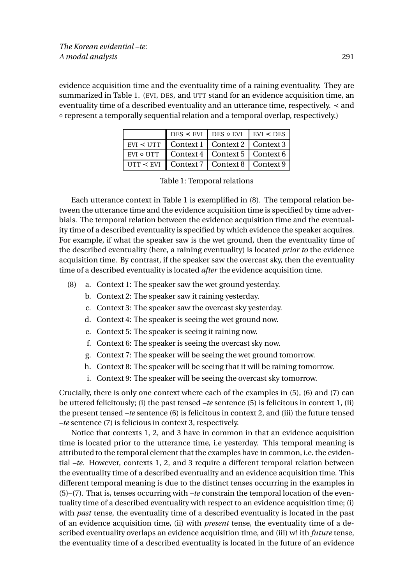evidence acquisition time and the eventuality time of a raining eventuality. They are summarized in Table 1. (EVI, DES, and UTT stand for an evidence acquisition time, an eventuality time of a described eventuality and an utterance time, respectively. ≺ and ◦ represent a temporally sequential relation and a temporal overlap, respectively.)

|                                                                              |                                                                                   | $DES \leq EVI$ DES $\circ$ EVI EVI $\leq$ DES |  |
|------------------------------------------------------------------------------|-----------------------------------------------------------------------------------|-----------------------------------------------|--|
|                                                                              | EVI $\lt$ UTT   Context 1   Context 2   Context 3                                 |                                               |  |
|                                                                              | EVI $\circ$ UTT $\parallel$ Context 4 $\parallel$ Context 5 $\parallel$ Context 6 |                                               |  |
| $\vert$ UTT $\leq$ EVI $\vert$ Context 7 $\vert$ Context 8 $\vert$ Context 9 |                                                                                   |                                               |  |

|  | o UTT    Context 4   Context 5   Conter |  |
|--|-----------------------------------------|--|
|  | $\leq$ EVI Context 7 Context 8 Contex   |  |

Each utterance context in Table 1 is exemplified in (8). The temporal relation between the utterance time and the evidence acquisition time is specified by time adverbials. The temporal relation between the evidence acquisition time and the eventuality time of a described eventuality is specified by which evidence the speaker acquires. For example, if what the speaker saw is the wet ground, then the eventuality time of the described eventuality (here, a raining eventuality) is located *prior to* the evidence acquisition time. By contrast, if the speaker saw the overcast sky, then the eventuality time of a described eventuality is located *after* the evidence acquisition time.

- (8) a. Context 1: The speaker saw the wet ground yesterday.
	- b. Context 2: The speaker saw it raining yesterday.
	- c. Context 3: The speaker saw the overcast sky yesterday.
	- d. Context 4: The speaker is seeing the wet ground now.
	- e. Context 5: The speaker is seeing it raining now.
	- f. Context 6: The speaker is seeing the overcast sky now.
	- g. Context 7: The speaker will be seeing the wet ground tomorrow.
	- h. Context 8: The speaker will be seeing that it will be raining tomorrow.
	- i. Context 9: The speaker will be seeing the overcast sky tomorrow.

Crucially, there is only one context where each of the examples in (5), (6) and (7) can be uttered felicitously; (i) the past tensed *–te* sentence (5) is felicitous in context 1, (ii) the present tensed *–te* sentence (6) is felicitous in context 2, and (iii) the future tensed *–te* sentence (7) is felicious in context 3, respectively.

Notice that contexts 1, 2, and 3 have in common in that an evidence acquisition time is located prior to the utterance time, i.e yesterday. This temporal meaning is attributed to the temporal element that the examples have in common, i.e. the evidential *–te*. However, contexts 1, 2, and 3 require a different temporal relation between the eventuality time of a described eventuality and an evidence acquisition time. This different temporal meaning is due to the distinct tenses occurring in the examples in (5)–(7). That is, tenses occurring with *–te* constrain the temporal location of the eventuality time of a described eventuality with respect to an evidence acquisition time; (i) with *past* tense, the eventuality time of a described eventuality is located in the past of an evidence acquisition time, (ii) with *present* tense, the eventuality time of a described eventuality overlaps an evidence acquisition time, and (iii) w! ith *future* tense, the eventuality time of a described eventuality is located in the future of an evidence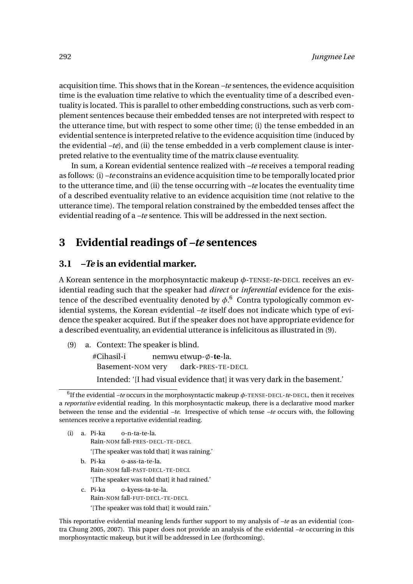acquisition time. This shows that in the Korean *–te* sentences, the evidence acquisition time is the evaluation time relative to which the eventuality time of a described eventuality is located. This is parallel to other embedding constructions, such as verb complement sentences because their embedded tenses are not interpreted with respect to the utterance time, but with respect to some other time; (i) the tense embedded in an evidential sentence is interpreted relative to the evidence acquisition time (induced by the evidential *–te*), and (ii) the tense embedded in a verb complement clause is interpreted relative to the eventuality time of the matrix clause eventuality.

In sum, a Korean evidential sentence realized with *–te* receives a temporal reading as follows: (i) *–te* constrains an evidence acquisition time to be temporally located prior to the utterance time, and (ii) the tense occurring with *–te* locates the eventuality time of a described eventuality relative to an evidence acquisition time (not relative to the utterance time). The temporal relation constrained by the embedded tenses affect the evidential reading of a *–te* sentence. This will be addressed in the next section.

### **3 Evidential readings of** *–te* **sentences**

#### **3.1** *–Te* **is an evidential marker.**

A Korean sentence in the morphosyntactic makeup *φ*-TENSE-*te*-DECL receives an evidential reading such that the speaker had *direct* or *inferential* evidence for the existence of the described eventuality denoted by  $\phi$ .<sup>6</sup> Contra typologically common evidential systems, the Korean evidential *–te* itself does not indicate which type of evidence the speaker acquired. But if the speaker does not have appropriate evidence for a described eventuality, an evidential utterance is infelicitous as illustrated in (9).

(9) a. Context: The speaker is blind.

#Cihasil-i Basement-NOM very nemwu etwup- $\phi$ -**te**-la. dark-PRES-TE-DECL

Intended: '[I had visual evidence that] it was very dark in the basement.'

- (i) a. Pi-ka Rain-NOM fall-PRES-DECL-TE-DECL o-n-ta-te-la. '[The speaker was told that] it was raining.' b. Pi-ka o-ass-ta-te-la.
	- Rain-NOM fall-PAST-DECL-TE-DECL

'[The speaker was told that] it had rained.'

c. Pi-ka Rain-NOM fall-FUT-DECL-TE-DECL o-kyess-ta-te-la. '[The speaker was told that] it would rain.'

This reportative evidential meaning lends further support to my analysis of *–te* as an evidential (contra Chung 2005, 2007). This paper does not provide an analysis of the evidential *–te* occurring in this morphosyntactic makeup, but it will be addressed in Lee (forthcoming).

<sup>6</sup> If the evidential *–te* occurs in the morphosyntactic makeup *φ*-TENSE-DECL-*te*-DECL, then it receives a *reportative* evidential reading. In this morphosyntactic makeup, there is a declarative mood marker between the tense and the evidential *–te*. Irrespective of which tense *–te* occurs with, the following sentences receive a reportative evidential reading.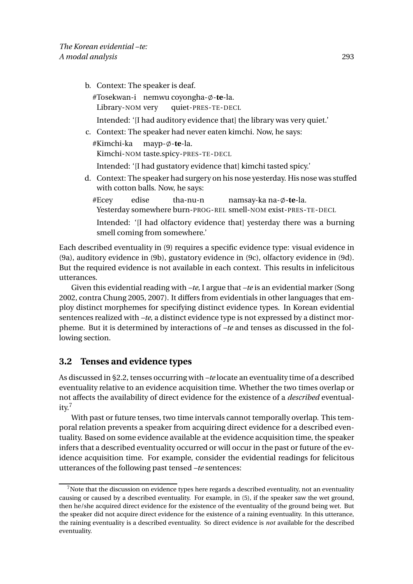b. Context: The speaker is deaf.

#Tosekwan-i nemwu coyongha-ø-te-la. Library-NOM very quiet-PRES-TE-DECL

- Intended: '[I had auditory evidence that] the library was very quiet.'
- c. Context: The speaker had never eaten kimchi. Now, he says:

#Kimchi-ka Kimchi-NOM taste.spicy-PRES-TE-DECL mayp- $\emptyset$ -te-la.

Intended: '[I had gustatory evidence that] kimchi tasted spicy.'

- d. Context: The speaker had surgery on his nose yesterday. His nose was stuffed with cotton balls. Now, he says:
	- #Ecey Yesterday somewhere burn-PROG-REL smell-NOM exist-PRES-TE-DECL edise tha-nu-n namsay-ka na-ø-**te**-la.

Intended: '[I had olfactory evidence that] yesterday there was a burning smell coming from somewhere.'

Each described eventuality in (9) requires a specific evidence type: visual evidence in (9a), auditory evidence in (9b), gustatory evidence in (9c), olfactory evidence in (9d). But the required evidence is not available in each context. This results in infelicitous utterances.

Given this evidential reading with *–te*, I argue that *–te* is an evidential marker (Song 2002, contra Chung 2005, 2007). It differs from evidentials in other languages that employ distinct morphemes for specifying distinct evidence types. In Korean evidential sentences realized with *–te*, a distinct evidence type is not expressed by a distinct morpheme. But it is determined by interactions of *–te* and tenses as discussed in the following section.

### **3.2 Tenses and evidence types**

As discussed in §2.2, tenses occurring with *–te* locate an eventuality time of a described eventuality relative to an evidence acquisition time. Whether the two times overlap or not affects the availability of direct evidence for the existence of a *described* eventual $itv.<sup>7</sup>$ 

With past or future tenses, two time intervals cannot temporally overlap. This temporal relation prevents a speaker from acquiring direct evidence for a described eventuality. Based on some evidence available at the evidence acquisition time, the speaker infers that a described eventuality occurred or will occur in the past or future of the evidence acquisition time. For example, consider the evidential readings for felicitous utterances of the following past tensed *–te* sentences:

 $<sup>7</sup>$  Note that the discussion on evidence types here regards a described eventuality, not an eventuality</sup> causing or caused by a described eventuality. For example, in (5), if the speaker saw the wet ground, then he/she acquired direct evidence for the existence of the eventuality of the ground being wet. But the speaker did not acquire direct evidence for the existence of a raining eventuality. In this utterance, the raining eventuality is a described eventuality. So direct evidence is *not* available for the described eventuality.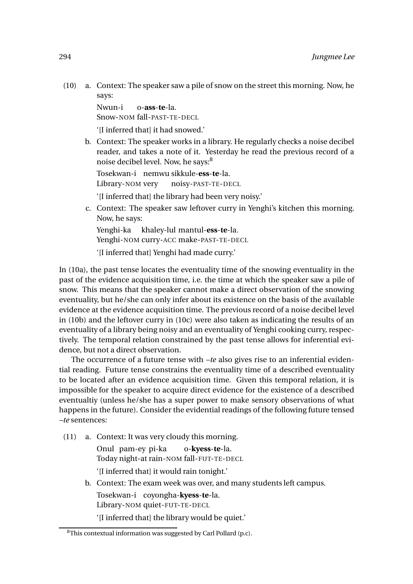(10) a. Context: The speaker saw a pile of snow on the street this morning. Now, he says:

> Nwun-i Snow-NOM fall-PAST-TE-DECL o-**ass**-**te**-la.

'[I inferred that] it had snowed.'

b. Context: The speaker works in a library. He regularly checks a noise decibel reader, and takes a note of it. Yesterday he read the previous record of a noise decibel level. Now, he says:<sup>8</sup>

Tosekwan-i nemwu sikkule-**ess**-**te**-la. Library-NOM very noisy-PAST-TE-DECL

'[I inferred that] the library had been very noisy.'

c. Context: The speaker saw leftover curry in Yenghi's kitchen this morning. Now, he says:

Yenghi-ka khaley-lul mantul-**ess**-**te**-la.

Yenghi-NOM curry-ACC make-PAST-TE-DECL

'[I inferred that] Yenghi had made curry.'

In (10a), the past tense locates the eventuality time of the snowing eventuality in the past of the evidence acquisition time, i.e. the time at which the speaker saw a pile of snow. This means that the speaker cannot make a direct observation of the snowing eventuality, but he/she can only infer about its existence on the basis of the available evidence at the evidence acquisition time. The previous record of a noise decibel level in (10b) and the leftover curry in (10c) were also taken as indicating the results of an eventuality of a library being noisy and an eventuality of Yenghi cooking curry, respectively. The temporal relation constrained by the past tense allows for inferential evidence, but not a direct observation.

The occurrence of a future tense with *–te* also gives rise to an inferential evidential reading. Future tense constrains the eventuality time of a described eventuality to be located after an evidence acquisition time. Given this temporal relation, it is impossible for the speaker to acquire direct evidence for the existence of a described eventualtiy (unless he/she has a super power to make sensory observations of what happens in the future). Consider the evidential readings of the following future tensed *–te* sentences:

(11) a. Context: It was very cloudy this morning.

Onul pam-ey pi-ka Today night-at rain-NOM fall-FUT-TE-DECL o-**kyess**-**te**-la. '[I inferred that] it would rain tonight.'

b. Context: The exam week was over, and many students left campus.

Tosekwan-i coyongha-**kyess**-**te**-la. Library-NOM quiet-FUT-TE-DECL

'[I inferred that] the library would be quiet.'

 ${}^{8}$ This contextual information was suggested by Carl Pollard (p.c).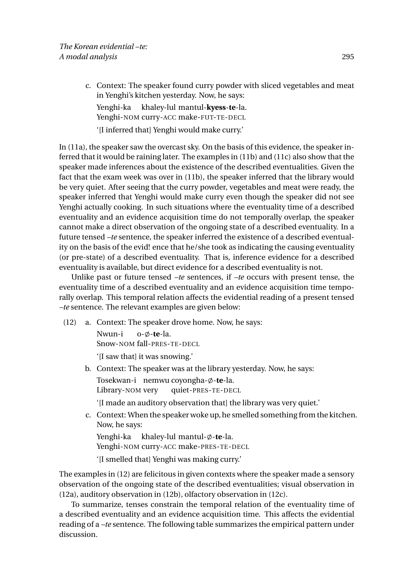c. Context: The speaker found curry powder with sliced vegetables and meat in Yenghi's kitchen yesterday. Now, he says: Yenghi-ka khaley-lul mantul-**kyess**-**te**-la. Yenghi-NOM curry-ACC make-FUT-TE-DECL

'[I inferred that] Yenghi would make curry.'

In (11a), the speaker saw the overcast sky. On the basis of this evidence, the speaker inferred that it would be raining later. The examples in (11b) and (11c) also show that the speaker made inferences about the existence of the described eventualities. Given the fact that the exam week was over in (11b), the speaker inferred that the library would be very quiet. After seeing that the curry powder, vegetables and meat were ready, the speaker inferred that Yenghi would make curry even though the speaker did not see Yenghi actually cooking. In such situations where the eventuality time of a described eventuality and an evidence acquisition time do not temporally overlap, the speaker cannot make a direct observation of the ongoing state of a described eventuality. In a future tensed *–te* sentence, the speaker inferred the existence of a described eventuality on the basis of the evid! ence that he/she took as indicating the causing eventuality (or pre-state) of a described eventuality. That is, inference evidence for a described eventuality is available, but direct evidence for a described eventuality is not.

Unlike past or future tensed *–te* sentences, if *–te* occurs with present tense, the eventuality time of a described eventuality and an evidence acquisition time temporally overlap. This temporal relation affects the evidential reading of a present tensed *–te* sentence. The relevant examples are given below:

(12) a. Context: The speaker drove home. Now, he says:

Nwun-i Snow-NOM fall-PRES-TE-DECL o- $\emptyset$ -te-la.

'[I saw that] it was snowing.'

b. Context: The speaker was at the library yesterday. Now, he says: Tosekwan-i nemwu coyongha-ø-**te**-la.

Library-NOM very quiet-PRES-TE-DECL

'[I made an auditory observation that] the library was very quiet.'

c. Context: When the speaker woke up, he smelled something from the kitchen. Now, he says:

Yenghi-ka khaley-lul mantul-ø-**te**-la. Yenghi-NOM curry-ACC make-PRES-TE-DECL '[I smelled that] Yenghi was making curry.'

The examples in (12) are felicitous in given contexts where the speaker made a sensory observation of the ongoing state of the described eventualities; visual observation in (12a), auditory observation in (12b), olfactory observation in (12c).

To summarize, tenses constrain the temporal relation of the eventuality time of a described eventuality and an evidence acquisition time. This affects the evidential reading of a *–te* sentence. The following table summarizes the empirical pattern under discussion.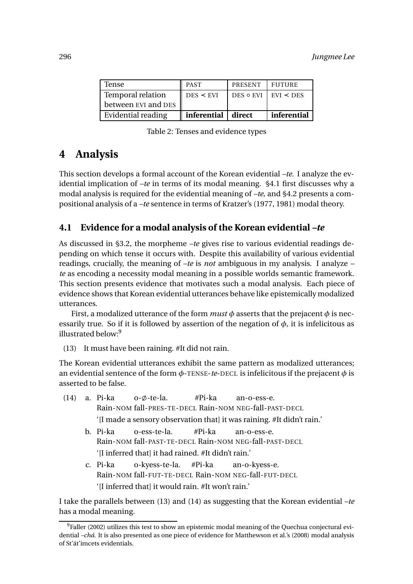| Tense                    | <b>PAST</b>        | PRESENT I FUTURE |                                   |
|--------------------------|--------------------|------------------|-----------------------------------|
| <b>Temporal relation</b> | $DES \leq EVI$     |                  | DES $\circ$ EVI   EVI $\prec$ DES |
| between EVI and DES      |                    |                  |                                   |
| Evidential reading       | inferential direct |                  | inferential                       |

Table 2: Tenses and evidence types

## **4 Analysis**

This section develops a formal account of the Korean evidential *–te*. I analyze the evidential implication of *–te* in terms of its modal meaning. §4.1 first discusses why a modal analysis is required for the evidential meaning of *–te*, and §4.2 presents a compositional analysis of a *–te* sentence in terms of Kratzer's (1977, 1981) modal theory.

#### **4.1 Evidence for a modal analysis of the Korean evidential** *–te*

As discussed in §3.2, the morpheme *–te* gives rise to various evidential readings depending on which tense it occurs with. Despite this availability of various evidential readings, crucially, the meaning of *–te* is *not* ambiguous in my analysis. I analyze *– te* as encoding a necessity modal meaning in a possible worlds semantic framework. This section presents evidence that motivates such a modal analysis. Each piece of evidence shows that Korean evidential utterances behave like epistemically modalized utterances.

First, a modalized utterance of the form *must φ* asserts that the prejacent *φ* is necessarily true. So if it is followed by assertion of the negation of  $\phi$ , it is infelicitous as illustrated below:<sup>9</sup>

(13) It must have been raining. #It did not rain.

The Korean evidential utterances exhibit the same pattern as modalized utterances; an evidential sentence of the form *φ*-TENSE-*te*-DECL is infelicitous if the prejacent *φ* is asserted to be false.

|                                              |                                                                                                            |  | $(14)$ a. Pi-ka o- $\emptyset$ -te-la. #Pi-ka an-o-ess-e.                                                     |  |  |  |  |
|----------------------------------------------|------------------------------------------------------------------------------------------------------------|--|---------------------------------------------------------------------------------------------------------------|--|--|--|--|
|                                              |                                                                                                            |  | Rain-NOM fall-PRES-TE-DECL Rain-NOM NEG-fall-PAST-DECL                                                        |  |  |  |  |
|                                              |                                                                                                            |  | '[I made a sensory observation that] it was raining. #It didn't rain.'                                        |  |  |  |  |
|                                              |                                                                                                            |  | b. Pi-ka o-ess-te-la. #Pi-ka an-o-ess-e.                                                                      |  |  |  |  |
|                                              |                                                                                                            |  | Rain-NOM fall-PAST-TE-DECL Rain-NOM NEG-fall-PAST-DECL<br>'[I inferred that] it had rained. #It didn't rain.' |  |  |  |  |
|                                              |                                                                                                            |  |                                                                                                               |  |  |  |  |
| c. Pi-ka o-kyess-te-la. #Pi-ka an-o-kyess-e. |                                                                                                            |  |                                                                                                               |  |  |  |  |
|                                              | Rain-NOM fall-FUT-TE-DECL Rain-NOM NEG-fall-FUT-DECL<br>'[I inferred that] it would rain. #It won't rain.' |  |                                                                                                               |  |  |  |  |
|                                              |                                                                                                            |  |                                                                                                               |  |  |  |  |

I take the parallels between (13) and (14) as suggesting that the Korean evidential *–te* has a modal meaning.

<sup>&</sup>lt;sup>9</sup>Faller (2002) utilizes this test to show an epistemic modal meaning of the Quechua conjectural evidential *–chá*. It is also presented as one piece of evidence for Matthewson et al.'s (2008) modal analysis of St'át'imcets evidentials.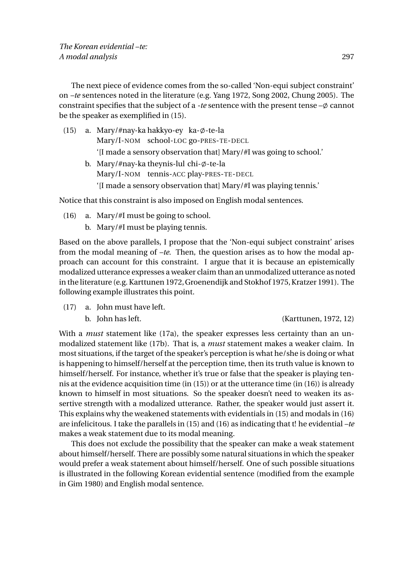The next piece of evidence comes from the so-called 'Non-equi subject constraint' on *–te* sentences noted in the literature (e.g. Yang 1972, Song 2002, Chung 2005). The constraint specifies that the subject of a *-te* sentence with the present tense  $-\phi$  cannot be the speaker as exemplified in (15).

- (15) a. Mary/#nay-ka hakkyo-ey ka-ø-te-la Mary/I-NOM school-LOC go-PRES-TE-DECL '[I made a sensory observation that] Mary/#I was going to school.' b. Mary/#nay-ka theynis-lul chi-ø-te-la Mary/I-NOM tennis-ACC play-PRES-TE-DECL
	- '[I made a sensory observation that] Mary/#I was playing tennis.'

Notice that this constraint is also imposed on English modal sentences.

- (16) a. Mary/#I must be going to school.
	- b. Mary/#I must be playing tennis.

Based on the above parallels, I propose that the 'Non-equi subject constraint' arises from the modal meaning of *–te*. Then, the question arises as to how the modal approach can account for this constraint. I argue that it is because an epistemically modalized utterance expresses a weaker claim than an unmodalized utterance as noted in the literature (e.g. Karttunen 1972,Groenendijk and Stokhof 1975, Kratzer 1991). The following example illustrates this point.

- (17) a. John must have left.
	-

#### b. John has left. (Karttunen, 1972, 12)

With a *must* statement like (17a), the speaker expresses less certainty than an unmodalized statement like (17b). That is, a *must* statement makes a weaker claim. In most situations, if the target of the speaker's perception is what he/she is doing or what is happening to himself/herself at the perception time, then its truth value is known to himself/herself. For instance, whether it's true or false that the speaker is playing tennis at the evidence acquisition time (in (15)) or at the utterance time (in (16)) is already known to himself in most situations. So the speaker doesn't need to weaken its assertive strength with a modalized utterance. Rather, the speaker would just assert it. This explains why the weakened statements with evidentials in (15) and modals in (16) are infelicitous. I take the parallels in (15) and (16) as indicating that t! he evidential *–te* makes a weak statement due to its modal meaning.

This does not exclude the possibility that the speaker can make a weak statement about himself/herself. There are possibly some natural situations in which the speaker would prefer a weak statement about himself/herself. One of such possible situations is illustrated in the following Korean evidential sentence (modified from the example in Gim 1980) and English modal sentence.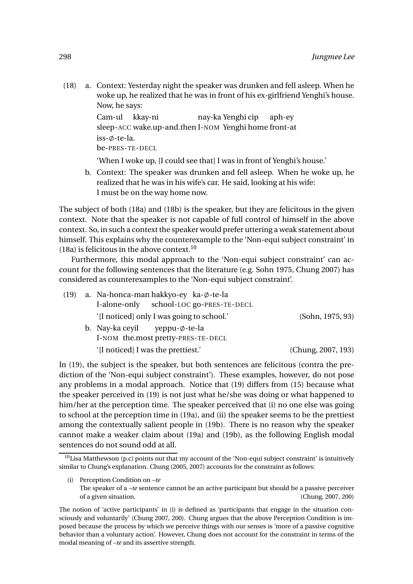(18) a. Context: Yesterday night the speaker was drunken and fell asleep. When he woke up, he realized that he was in front of his ex-girlfriend Yenghi's house. Now, he says:

```
Cam-ul
kkay-ni
sleep-ACC
wake.up-and.then
I-NOM
Yenghi
home
front-at
                              nay-ka
Yenghi
cip
                                                  aph-ey
is s-<i>\phi</i>-te-la.be-PRES-TE-DECL
```
'When I woke up, [I could see that] I was in front of Yenghi's house.'

b. Context: The speaker was drunken and fell asleep. When he woke up, he realized that he was in his wife's car. He said, looking at his wife: I must be on the way home now.

The subject of both (18a) and (18b) is the speaker, but they are felicitous in the given context. Note that the speaker is not capable of full control of himself in the above context. So, in such a context the speaker would prefer uttering a weak statement about himself. This explains why the counterexample to the 'Non-equi subject constraint' in (18a) is felicitous in the above context. $10$ 

Furthermore, this modal approach to the 'Non-equi subject constraint' can account for the following sentences that the literature (e.g. Sohn 1975, Chung 2007) has considered as counterexamples to the 'Non-equi subject constraint'.

| (19) |  | a. Na-honca-man hakkyo-ey ka-ø-te-la      |  |                    |
|------|--|-------------------------------------------|--|--------------------|
|      |  | I-alone-only school-LOC go-PRES-TE-DECL   |  |                    |
|      |  | '[I noticed] only I was going to school.' |  | (Sohn, 1975, 93)   |
|      |  | b. Nay-ka ceyil yeppu- $\phi$ -te-la      |  |                    |
|      |  | I-NOM the most pretty-PRES-TE-DECL        |  |                    |
|      |  | '[I noticed] I was the prettiest.'        |  | (Chung, 2007, 193) |

In (19), the subject is the speaker, but both sentences are felicitous (contra the prediction of the 'Non-equi subject constraint'). These examples, however, do not pose any problems in a modal approach. Notice that (19) differs from (15) because what the speaker perceived in (19) is not just what he/she was doing or what happened to him/her at the perception time. The speaker perceived that (i) no one else was going to school at the perception time in (19a), and (ii) the speaker seems to be the prettiest among the contextually salient people in (19b). There is no reason why the speaker cannot make a weaker claim about (19a) and (19b), as the following English modal sentences do not sound odd at all.

 $10$ Lisa Matthewson (p.c) points out that my account of the 'Non-equi subject constraint' is intuitively similar to Chung's explanation. Chung (2005, 2007) accounts for the constraint as follows:

<sup>(</sup>i) Perception Condition on *–te* The speaker of a *–te* sentence cannot be an active participant but should be a passive perceiver of a given situation. (Chung, 2007, 200)

The notion of 'active participants' in (i) is defined as 'participants that engage in the situation consciously and voluntarily' (Chung 2007, 200). Chung argues that the above Perception Condition is imposed because the process by which we perceive things with our senses is 'more of a passive cognitive behavior than a voluntary action'. However, Chung does not account for the constraint in terms of the modal meaning of *–te* and its assertive strength.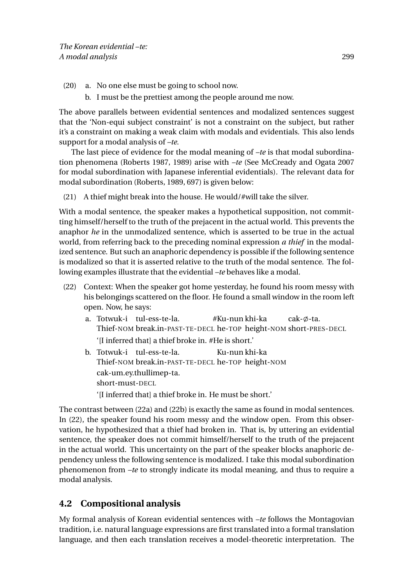- (20) a. No one else must be going to school now.
	- b. I must be the prettiest among the people around me now.

The above parallels between evidential sentences and modalized sentences suggest that the 'Non-equi subject constraint' is not a constraint on the subject, but rather it's a constraint on making a weak claim with modals and evidentials. This also lends support for a modal analysis of *–te*.

The last piece of evidence for the modal meaning of *–te* is that modal subordination phenomena (Roberts 1987, 1989) arise with *–te* (See McCready and Ogata 2007 for modal subordination with Japanese inferential evidentials). The relevant data for modal subordination (Roberts, 1989, 697) is given below:

(21) A thief might break into the house. He would/#will take the silver.

With a modal sentence, the speaker makes a hypothetical supposition, not committing himself/herself to the truth of the prejacent in the actual world. This prevents the anaphor *he* in the unmodalized sentence, which is asserted to be true in the actual world, from referring back to the preceding nominal expression *a thief* in the modalized sentence. But such an anaphoric dependency is possible if the following sentence is modalized so that it is asserted relative to the truth of the modal sentence. The following examples illustrate that the evidential *–te* behaves like a modal.

- (22) Context: When the speaker got home yesterday, he found his room messy with his belongings scattered on the floor. He found a small window in the room left open. Now, he says:
	- a. Totwuk-i tul-ess-te-la. Thief-NOM break.in-PAST-TE-DECL he-TOP height-NOM short-PRES-DECL #Ku-nun khi-ka cak- $\emptyset$ -ta. '[I inferred that] a thief broke in. #He is short.'
	- b. Totwuk-i tul-ess-te-la. Thief-NOM break.in-PAST-TE-DECL he-TOP height-NOM Ku-nun khi-ka cak-um.ey.thullimep-ta. short-must-DECL

'[I inferred that] a thief broke in. He must be short.'

The contrast between (22a) and (22b) is exactly the same as found in modal sentences. In (22), the speaker found his room messy and the window open. From this observation, he hypothesized that a thief had broken in. That is, by uttering an evidential sentence, the speaker does not commit himself/herself to the truth of the prejacent in the actual world. This uncertainty on the part of the speaker blocks anaphoric dependency unless the following sentence is modalized. I take this modal subordination phenomenon from *–te* to strongly indicate its modal meaning, and thus to require a modal analysis.

### **4.2 Compositional analysis**

My formal analysis of Korean evidential sentences with *–te* follows the Montagovian tradition, i.e. natural language expressions are first translated into a formal translation language, and then each translation receives a model-theoretic interpretation. The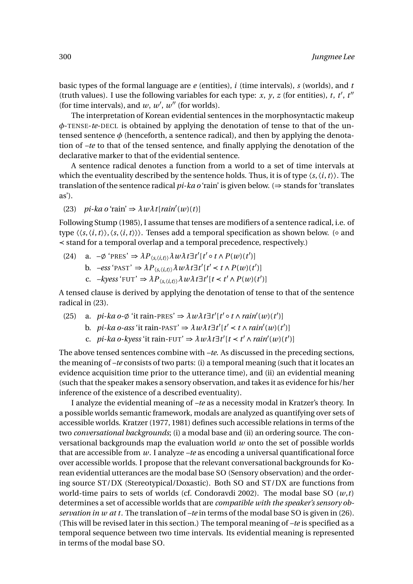basic types of the formal language are *e* (entities), *i* (time intervals), *s* (worlds), and *t* (truth values). I use the following variables for each type: *x*, *y*, *z* (for entities), *t*, *t'*, *t''* (for time intervals), and  $w$ ,  $w'$ ,  $w''$  (for worlds).

The interpretation of Korean evidential sentences in the morphosyntactic makeup *φ*-TENSE-*te*-DECL is obtained by applying the denotation of tense to that of the untensed sentence  $\phi$  (henceforth, a sentence radical), and then by applying the denotation of *–te* to that of the tensed sentence, and finally applying the denotation of the declarative marker to that of the evidential sentence.

A sentence radical denotes a function from a world to a set of time intervals at which the eventuality described by the sentence holds. Thus, it is of type  $\langle s, \langle i, t \rangle \rangle$ . The translation of the sentence radical *pi-ka o* 'rain' is given below. (⇒ stands for 'translates as').

(23)  $pi$ -ka o 'rain'  $\Rightarrow \lambda w \lambda t$ [*rain'*(*w*)(*t*)]

Following Stump (1985), I assume that tenses are modifiers of a sentence radical, i.e. of type  $\langle \langle s, \langle i, t \rangle \rangle, \langle s, \langle i, t \rangle \rangle$ . Tenses add a temporal specification as shown below. (⊙ and ≺ stand for a temporal overlap and a temporal precedence, respectively.)

- (24) a.  $-\phi$  'PRES'  $\Rightarrow \lambda P_{\langle s, \langle i, t \rangle} \lambda w \lambda t \exists t' [t' \circ t \wedge P(w)(t')]$ 
	- b.  $-\text{ess}^{\cdot} \text{PAST'} \Rightarrow \lambda P_{\langle s, \langle i, t \rangle \rangle} \lambda w \lambda t \exists t' [t' < t \land P(w)(t')]$
	- c.  $-kyess' FUT' \Rightarrow \lambda P_{\langle s, \langle i, t \rangle \rangle} \lambda w \lambda t \exists t' [t \langle t' \wedge P(w)(t')]$

A tensed clause is derived by applying the denotation of tense to that of the sentence radical in (23).

- (25) a. *pi-ka o-* $\emptyset$  'it rain-PRES'  $\Rightarrow \lambda w \lambda t \exists t' [t' \circ t \wedge rain'(w)(t')]$ 
	- b. *pi-ka o-ass* 'it rain-PAST'  $\Rightarrow \lambda w \lambda t \exists t' [t' < t \land rain'(w)(t')]$
	- c. *pi-ka o-kyess* 'it rain-FUT'  $\Rightarrow \lambda w \lambda t \exists t' [t < t' \land rain'(w)(t')]$

The above tensed sentences combine with *–te*. As discussed in the preceding sections, the meaning of *–te* consists of two parts: (i) a temporal meaning (such that it locates an evidence acquisition time prior to the utterance time), and (ii) an evidential meaning (such that the speaker makes a sensory observation, and takes it as evidence for his/her inference of the existence of a described eventuality).

I analyze the evidential meaning of *–te* as a necessity modal in Kratzer's theory. In a possible worlds semantic framework, modals are analyzed as quantifying over sets of accessible worlds. Kratzer (1977, 1981) defines such accessible relations in terms of the two *conversational backgrounds*; (i) a modal base and (ii) an ordering source. The conversational backgrounds map the evaluation world *w* onto the set of possible worlds that are accessible from *w*. I analyze *–te* as encoding a universal quantificational force over accessible worlds. I propose that the relevant conversational backgrounds for Korean evidential utterances are the modal base SO (Sensory observation) and the ordering source ST/DX (Stereotypical/Doxastic). Both SO and ST/DX are functions from world-time pairs to sets of worlds (cf. Condoravdi 2002). The modal base SO (*w*,*t*) determines a set of accessible worlds that are *compatible with the speaker's sensory observation in w at t*. The translation of *–te* in terms of the modal base SO is given in (26). (This will be revised later in this section.) The temporal meaning of *–te* is specified as a temporal sequence between two time intervals. Its evidential meaning is represented in terms of the modal base SO.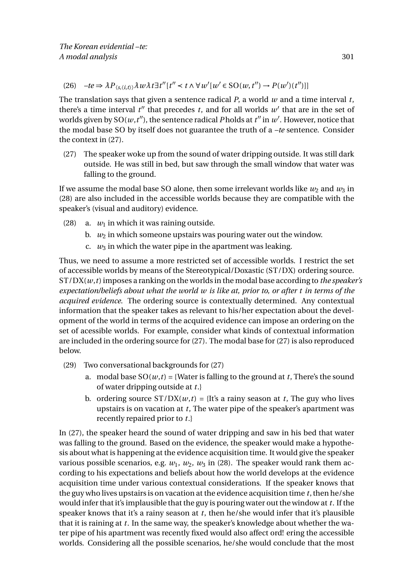(26)  $-te \Rightarrow \lambda P_{\langle s, \langle i, t \rangle} \rangle \lambda w \lambda t \exists t'' [t'' < t \land \forall w' [w' \in SO(w, t'') \rightarrow P(w')(t'')]$ 

The translation says that given a sentence radical *P*, a world *w* and a time interval *t*, there's a time interval  $t''$  that precedes  $t$ , and for all worlds  $w'$  that are in the set of worlds given by SO( $w$ , $t^{\prime\prime}$ ), the sentence radical *P* holds at  $t^{\prime\prime}$  in  $w^{\prime}$ . However, notice that the modal base SO by itself does not guarantee the truth of a *–te* sentence. Consider the context in (27).

(27) The speaker woke up from the sound of water dripping outside. It was still dark outside. He was still in bed, but saw through the small window that water was falling to the ground.

If we assume the modal base SO alone, then some irrelevant worlds like  $w_2$  and  $w_3$  in (28) are also included in the accessible worlds because they are compatible with the speaker's (visual and auditory) evidence.

- (28) a.  $w_1$  in which it was raining outside.
	- b.  $w_2$  in which someone upstairs was pouring water out the window.
	- c.  $w_3$  in which the water pipe in the apartment was leaking.

Thus, we need to assume a more restricted set of accessible worlds. I restrict the set of accessible worlds by means of the Stereotypical/Doxastic (ST/DX) ordering source. ST/DX(*w*,*t*) imposes a ranking on the worlds in the modal base according to *the speaker's expectation/beliefs about what the world w is like at, prior to, or after t in terms of the acquired evidence*. The ordering source is contextually determined. Any contextual information that the speaker takes as relevant to his/her expectation about the development of the world in terms of the acquired evidence can impose an ordering on the set of acessible worlds. For example, consider what kinds of contextual information are included in the ordering source for (27). The modal base for (27) is also reproduced below.

- (29) Two conversational backgrounds for (27)
	- a. modal base  $SO(w,t) = \{Water \text{ is falling to the ground at } t, \text{There's the sound} \}$ of water dripping outside at *t*.}
	- b. ordering source  $ST/DX(w,t) = {It's a rainv season at t}$ . The guy who lives upstairs is on vacation at *t*, The water pipe of the speaker's apartment was recently repaired prior to *t*.}

In (27), the speaker heard the sound of water dripping and saw in his bed that water was falling to the ground. Based on the evidence, the speaker would make a hypothesis about what is happening at the evidence acquisition time. It would give the speaker various possible scenarios, e.g.  $w_1$ ,  $w_2$ ,  $w_3$  in (28). The speaker would rank them according to his expectations and beliefs about how the world develops at the evidence acquisition time under various contextual considerations. If the speaker knows that the guy who lives upstairs is on vacation at the evidence acquisition time *t*, then he/she would infer that it's implausible that the guy is pouring water out the window at *t*. If the speaker knows that it's a rainy season at *t*, then he/she would infer that it's plausible that it is raining at *t*. In the same way, the speaker's knowledge about whether the water pipe of his apartment was recently fixed would also affect ord! ering the accessible worlds. Considering all the possible scenarios, he/she would conclude that the most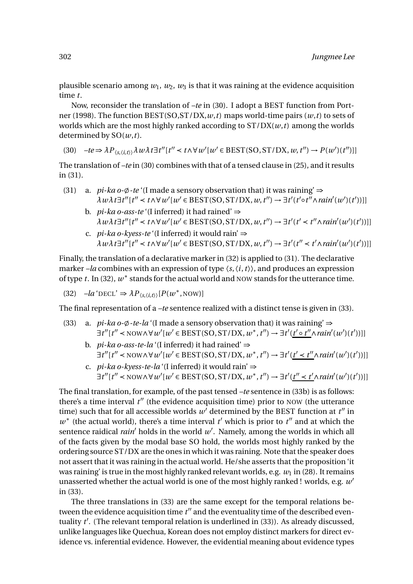plausible scenario among  $w_1$ ,  $w_2$ ,  $w_3$  is that it was raining at the evidence acquisition time *t*.

Now, reconsider the translation of *–te* in (30). I adopt a BEST function from Portner (1998). The function BEST(SO,ST/DX,*w*,*t*) maps world-time pairs (*w*,*t*) to sets of worlds which are the most highly ranked according to ST/DX(*w*,*t*) among the worlds determined by SO(*w*,*t*).

(30)  $-te \Rightarrow \lambda P_{\langle s, \langle i, t \rangle \rangle} \lambda w \lambda t \exists t'' [t'' < t \land \forall w' [w' \in BEST(SO, ST/DX, w, t'') \rightarrow P(w')(t'')]]$ 

The translation of *–te* in (30) combines with that of a tensed clause in (25), and it results in (31).

- (31) a. *pi-ka o-* $\emptyset$ *-te* '(I made a sensory observation that) it was raining'  $\Rightarrow$  $\lambda w \lambda t \exists t'' [t'' < t \land \forall w' [w' \in BEST(SO, ST/DX, w, t'') \rightarrow \exists t' (t' \circ t'' \land rain'(w')(t'))]]$ 
	- b. *pi-ka o-ass-te* '(I inferred) it had rained' ⇒  $\lambda w \lambda t \exists t'' [t'' < t \land \forall w' [w' \in BEST(SO, ST/DX, w, t'') \rightarrow \exists t' (t' < t'' \land rain'(w')(t'))]]$
	- c. *pi-ka o-kyess-te* '(I inferred) it would rain' ⇒  $\lambda w \lambda t \exists t'' [t'' < t \land \forall w' [w' \in BEST(SO, ST/DX, w, t'') \rightarrow \exists t' (t'' < t' \land rain'(w')(t'))]]$

Finally, the translation of a declarative marker in (32) is applied to (31). The declarative marker *–la* combines with an expression of type 〈*s*,〈*i*,*t*〉〉, and produces an expression of type  $t$ . In (32),  $w^*$  stands for the actual world and NOW stands for the utterance time.

(32) 
$$
-la' \text{DECL}' \Rightarrow \lambda P_{\langle s, \langle i, t \rangle \rangle} [P(w^*, \text{Now})]
$$

The final representation of a *–te* sentence realized with a distinct tense is given in (33).

(33) a. *pi-ka o-* $\phi$ *-te-la* '(I made a sensory observation that) it was raining'  $\Rightarrow$  $\exists t''[t'' < \text{Now} \land \forall w'[w' \in \text{BEST}(\text{SO}, \text{ST}/\text{DX}, w^*, t'') \rightarrow \exists t'(t' \circ t'' \land \text{rain}'(w')(t'))]]$ 

b. *pi-ka o-ass-te-la* '(I inferred) it had rained'  $\Rightarrow$  $\exists t''[t'' < \text{Now} \land \forall w'[w' \in \text{BEST}(\text{SO}, \text{ST}/\text{DX}, w^*, t'') \rightarrow \exists t'(t' < t'' \land \text{rain}'(w')(t'))]]$ 

c. *pi-ka o-kyess-te-la* '(I inferred) it would rain' ⇒  $\exists t''[t'' < \text{Now} \land \forall w'[w' \in \text{BEST}(\text{SO}, \text{ST}/\text{DX}, w^*, t'') \rightarrow \exists t'(t'' < t' \land \text{rain}'(w')(t'))]]$ 

The final translation, for example, of the past tensed *–te* sentence in (33b) is as follows: there's a time interval  $t''$  (the evidence acquisition time) prior to NOW (the utterance time) such that for all accessible worlds  $w'$  determined by the BEST function at  $t''$  in  $w^*$  (the actual world), there's a time interval  $t'$  which is prior to  $t''$  and at which the sentence raidical *rain'* holds in the world  $w'$ . Namely, among the worlds in which all of the facts given by the modal base SO hold, the worlds most highly ranked by the ordering source ST/DX are the ones in which it was raining. Note that the speaker does not assert that it was raining in the actual world. He/she asserts that the proposition 'it was raining' is true in the most highly ranked relevant worlds, e.g.  $w_1$  in (28). It remains unasserted whether the actual world is one of the most highly ranked ! worlds, e.g. *w* ′ in (33).

The three translations in (33) are the same except for the temporal relations between the evidence acquisition time  $t''$  and the eventuality time of the described eventuality *t* ′ . (The relevant temporal relation is underlined in (33)). As already discussed, unlike languages like Quechua, Korean does not employ distinct markers for direct evidence vs. inferential evidence. However, the evidential meaning about evidence types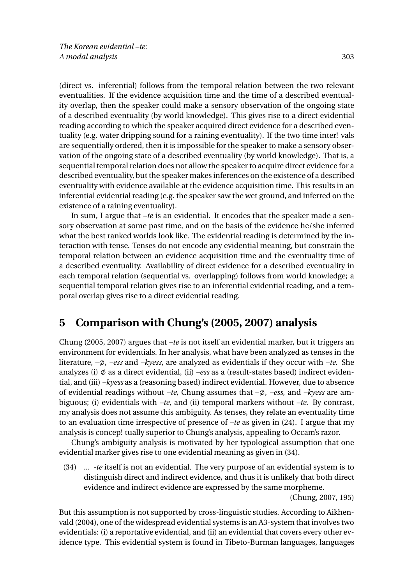(direct vs. inferential) follows from the temporal relation between the two relevant eventualities. If the evidence acquisition time and the time of a described eventuality overlap, then the speaker could make a sensory observation of the ongoing state of a described eventuality (by world knowledge). This gives rise to a direct evidential reading according to which the speaker acquired direct evidence for a described eventuality (e.g. water dripping sound for a raining eventuality). If the two time inter! vals are sequentially ordered, then it is impossible for the speaker to make a sensory observation of the ongoing state of a described eventuality (by world knowledge). That is, a sequential temporal relation does not allow the speaker to acquire direct evidence for a described eventuality, but the speaker makes inferences on the existence of a described eventuality with evidence available at the evidence acquisition time. This results in an inferential evidential reading (e.g. the speaker saw the wet ground, and inferred on the existence of a raining eventuality).

In sum, I argue that *–te* is an evidential. It encodes that the speaker made a sensory observation at some past time, and on the basis of the evidence he/she inferred what the best ranked worlds look like. The evidential reading is determined by the interaction with tense. Tenses do not encode any evidential meaning, but constrain the temporal relation between an evidence acquisition time and the eventuality time of a described eventuality. Availability of direct evidence for a described eventuality in each temporal relation (sequential vs. overlapping) follows from world knowledge; a sequential temporal relation gives rise to an inferential evidential reading, and a temporal overlap gives rise to a direct evidential reading.

# **5 Comparison with Chung's (2005, 2007) analysis**

Chung (2005, 2007) argues that *–te* is not itself an evidential marker, but it triggers an environment for evidentials. In her analysis, what have been analyzed as tenses in the literature,  $-\phi$ ,  $-ess$  and  $-kyess$ , are analyzed as evidentials if they occur with  $-te$ . She analyzes (i)  $\emptyset$  as a direct evidential, (ii) *–ess* as a (result-states based) indirect evidential, and (iii) *–kyess* as a (reasoning based) indirect evidential. However, due to absence of evidential readings without *–te*, Chung assumes that –;, *–ess*, and *–kyess* are ambiguous; (i) evidentials with *–te*, and (ii) temporal markers without *–te*. By contrast, my analysis does not assume this ambiguity. As tenses, they relate an eventuality time to an evaluation time irrespective of presence of *–te* as given in (24). I argue that my analysis is concep! tually superior to Chung's analysis, appealing to Occam's razor.

Chung's ambiguity analysis is motivated by her typological assumption that one evidential marker gives rise to one evidential meaning as given in (34).

(34) ... *-te* itself is not an evidential. The very purpose of an evidential system is to distinguish direct and indirect evidence, and thus it is unlikely that both direct evidence and indirect evidence are expressed by the same morpheme.

(Chung, 2007, 195)

But this assumption is not supported by cross-linguistic studies. According to Aikhenvald (2004), one of the widespread evidential systems is an A3-system that involves two evidentials: (i) a reportative evidential, and (ii) an evidential that covers every other evidence type. This evidential system is found in Tibeto-Burman languages, languages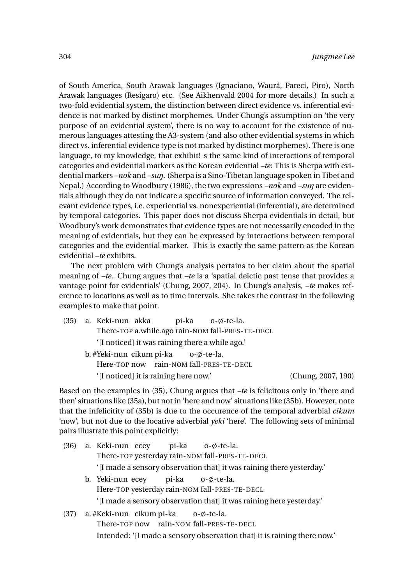of South America, South Arawak languages (Ignaciano, Waurá, Pareci, Piro), North Arawak languages (Resígaro) etc. (See Aikhenvald 2004 for more details.) In such a two-fold evidential system, the distinction between direct evidence vs. inferential evidence is not marked by distinct morphemes. Under Chung's assumption on 'the very purpose of an evidential system', there is no way to account for the existence of numerous languages attesting the A3-system (and also other evidential systems in which direct vs. inferential evidence type is not marked by distinct morphemes). There is one language, to my knowledge, that exhibit! s the same kind of interactions of temporal categories and evidential markers as the Korean evidential *–te*: This is Sherpa with evidential markers *–nok* and *–suŋ*. (Sherpa is a Sino-Tibetan language spoken in Tibet and Nepal.) According to Woodbury (1986), the two expressions *–nok* and *–suŋ* are evidentials although they do not indicate a specific source of information conveyed. The relevant evidence types, i.e. experiential vs. nonexperiential (inferential), are determined by temporal categories. This paper does not discuss Sherpa evidentials in detail, but Woodbury's work demonstrates that evidence types are not necessarily encoded in the meaning of evidentials, but they can be expressed by interactions between temporal categories and the evidential marker. This is exactly the same pattern as the Korean evidential *–te* exhibits.

The next problem with Chung's analysis pertains to her claim about the spatial meaning of *–te*. Chung argues that *–te* is a 'spatial deictic past tense that provides a vantage point for evidentials' (Chung, 2007, 204). In Chung's analysis, *–te* makes reference to locations as well as to time intervals. She takes the contrast in the following examples to make that point.

(35) a. Keki-nun akka There-TOP a.while.ago rain-NOM fall-PRES-TE-DECL pi-ka  $o$ - $\phi$ -te-la. '[I noticed] it was raining there a while ago.' b. #Yeki-nun cikum pi-ka Here-TOP now rain-NOM fall-PRES-TE-DECL  $o$ - $\phi$ -te-la. '[I noticed] it is raining here now.' (Chung, 2007, 190)

Based on the examples in (35), Chung argues that *–te* is felicitous only in 'there and then' situations like (35a), but not in 'here and now' situations like (35b). However, note that the infelicitity of (35b) is due to the occurence of the temporal adverbial *cikum* 'now', but not due to the locative adverbial *yeki* 'here'. The following sets of minimal pairs illustrate this point explicitly:

- (36) a. Keki-nun ecey There-TOP yesterday rain-NOM fall-PRES-TE-DECL pi-ka  $o$ - $\phi$ -te-la. '[I made a sensory observation that] it was raining there yesterday.'
	- b. Yeki-nun ecey Here-TOP yesterday rain-NOM fall-PRES-TE-DECL pi-ka  $o$ - $\phi$ -te-la. '[I made a sensory observation that] it was raining here yesterday.'
- (37) a. #Keki-nun cikum pi-ka There-TOP now rain-NOM fall-PRES-TE-DECL  $o$ - $\phi$ -te-la. Intended: '[I made a sensory observation that] it is raining there now.'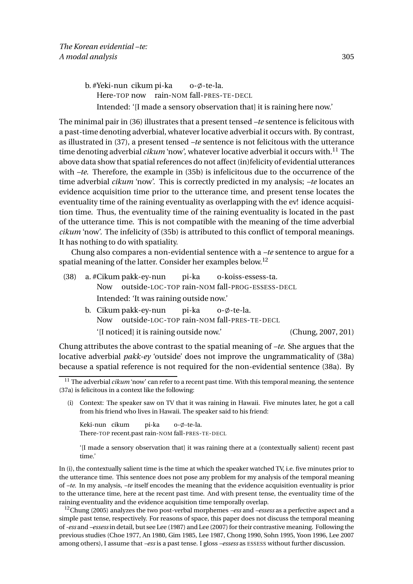b. #Yeki-nun cikum pi-ka Here-TOP now rain-NOM fall-PRES-TE-DECL  $o$ - $\phi$ -te-la. Intended: '[I made a sensory observation that] it is raining here now.'

The minimal pair in (36) illustrates that a present tensed *–te* sentence is felicitous with a past-time denoting adverbial, whatever locative adverbial it occurs with. By contrast, as illustrated in (37), a present tensed *–te* sentence is not felicitous with the utterance time denoting adverbial *cikum* 'now', whatever locative adverbial it occurs with.<sup>11</sup> The above data show that spatial references do not affect (in)felicity of evidential utterances with *–te*. Therefore, the example in (35b) is infelicitous due to the occurrence of the time adverbial *cikum* 'now'. This is correctly predicted in my analysis; *–te* locates an evidence acquisition time prior to the utterance time, and present tense locates the eventuality time of the raining eventuality as overlapping with the ev! idence acquisition time. Thus, the eventuality time of the raining eventuality is located in the past of the utterance time. This is not compatible with the meaning of the time adverbial *cikum* 'now'. The infelicity of (35b) is attributed to this conflict of temporal meanings. It has nothing to do with spatiality.

Chung also compares a non-evidential sentence with a *–te* sentence to argue for a spatial meaning of the latter. Consider her examples below.<sup>12</sup>

- (38) a. #Cikum pakk-ey-nun Now outside-LOC-TOP rain-NOM fall-PROG-ESSESS-DECL pi-ka o-koiss-essess-ta. Intended: 'It was raining outside now.' b. Cikum pakk-ey-nun pi-ka  $o$ - $\phi$ -te-la.
	- Now outside-LOC-TOP rain-NOM fall-PRES-TE-DECL '[I noticed] it is raining outside now.' (Chung, 2007, 201)

Chung attributes the above contrast to the spatial meaning of *–te*. She argues that the locative adverbial *pakk-ey* 'outside' does not improve the ungrammaticality of (38a) because a spatial reference is not required for the non-evidential sentence (38a). By

Keki-nun cikum There-TOP recent.past rain-NOM fall-PRES-TE-DECL pi-ka o-ø-te-la.

'[I made a sensory observation that] it was raining there at a (contextually salient) recent past time.'

In (i), the contextually salient time is the time at which the speaker watched TV, i.e. five minutes prior to the utterance time. This sentence does not pose any problem for my analysis of the temporal meaning of *–te*. In my analysis, *–te* itself encodes the meaning that the evidence acquisition eventuality is prior to the utterance time, here at the recent past time. And with present tense, the eventuality time of the raining eventuality and the evidence acquisition time temporally overlap.

<sup>12</sup>Chung (2005) analyzes the two post-verbal morphemes *–ess* and *–essess* as a perfective aspect and a simple past tense, respectively. For reasons of space, this paper does not discuss the temporal meaning of*-ess* and *–essess*in detail, but see Lee (1987) and Lee (2007) for their contrastive meaning. Following the previous studies (Choe 1977, An 1980, Gim 1985, Lee 1987, Chong 1990, Sohn 1995, Yoon 1996, Lee 2007 among others), I assume that *–ess* is a past tense. I gloss *–essess* as ESSESS without further discussion.

<sup>&</sup>lt;sup>11</sup> The adverbial *cikum* 'now' can refer to a recent past time. With this temporal meaning, the sentence (37a) is felicitous in a context like the following:

<sup>(</sup>i) Context: The speaker saw on TV that it was raining in Hawaii. Five minutes later, he got a call from his friend who lives in Hawaii. The speaker said to his friend: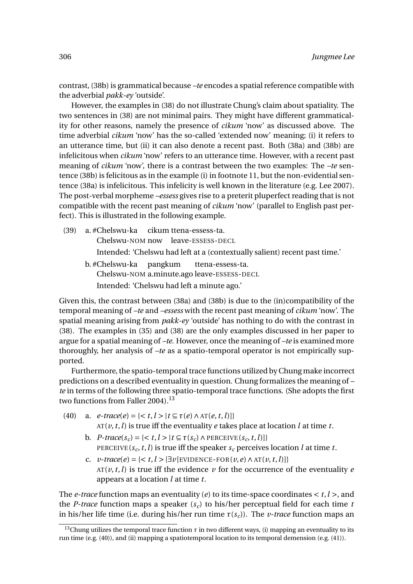contrast, (38b) is grammatical because *–te* encodes a spatial reference compatible with the adverbial *pakk-ey* 'outside'.

However, the examples in (38) do not illustrate Chung's claim about spatiality. The two sentences in (38) are not minimal pairs. They might have different grammaticality for other reasons, namely the presence of *cikum* 'now' as discussed above. The time adverbial *cikum* 'now' has the so-called 'extended now' meaning; (i) it refers to an utterance time, but (ii) it can also denote a recent past. Both (38a) and (38b) are infelicitous when *cikum* 'now' refers to an utterance time. However, with a recent past meaning of *cikum* 'now', there is a contrast between the two examples: The *–te* sentence (38b) is felicitous as in the example (i) in footnote 11, but the non-evidential sentence (38a) is infelicitous. This infelicity is well known in the literature (e.g. Lee 2007). The post-verbal morpheme *–essess* gives rise to a preterit pluperfect reading that is not compatible with the recent past meaning of *cikum* 'now' (parallel to English past perfect). This is illustrated in the following example.

- (39) a. #Chelswu-ka Chelswu-NOM now leave-ESSESS-DECL cikum ttena-essess-ta. Intended: 'Chelswu had left at a (contextually salient) recent past time.'
	- b. #Chelswu-ka Chelswu-NOM a.minute.ago leave-ESSESS-DECL pangkum ttena-essess-ta. Intended: 'Chelswu had left a minute ago.'

Given this, the contrast between (38a) and (38b) is due to the (in)compatibility of the temporal meaning of *–te* and *–essess* with the recent past meaning of *cikum* 'now'. The spatial meaning arising from *pakk-ey* 'outside' has nothing to do with the contrast in (38). The examples in (35) and (38) are the only examples discussed in her paper to argue for a spatial meaning of *–te*. However, once the meaning of *–te* is examined more thoroughly, her analysis of *–te* as a spatio-temporal operator is not empirically supported.

Furthermore, the spatio-temporal trace functions utilized by Chung make incorrect predictions on a described eventuality in question. Chung formalizes the meaning of *– te* in terms of the following three spatio-temporal trace functions. (She adopts the first two functions from Faller 2004).<sup>13</sup>

- (40) a.  $e\text{-}trace(e) = \{  | t \subseteq \tau(e) \land \text{AT}(e, t, l) \} \}$  $AT(v, t, l)$  is true iff the eventuality *e* takes place at location *l* at time *t*.
	- **b.**  $P\text{-}trace(s_c) = \{ < t, l > | t \subseteq \tau(s_c) \land \text{PERCEIVE}(s_c, t, l) | \}$ PERCEIVE( $s_c$ ,  $t$ ,  $l$ ) is true iff the speaker  $s_c$  perceives location  $l$  at time  $t$ .
	- c.  $v\text{-}trace(e) = \{ \langle t, l \rangle | \exists v \{ \text{EVIDENCE-FOR}(v, e) \land \text{AT}(v, t, l) \} \}$  $AT(v, t, l)$  is true iff the evidence *v* for the occurrence of the eventuality *e* appears at a location *l* at time *t*.

The *e-trace* function maps an eventuality (*e*) to its time-space coordinates  $\lt t, l$  >, and the *P-trace* function maps a speaker  $(s_c)$  to his/her perceptual field for each time *t* in his/her life time (i.e. during his/her run time  $\tau(s_c)$ ). The *v-trace* function maps an

<sup>&</sup>lt;sup>13</sup>Chung utilizes the temporal trace function  $\tau$  in two different ways, (i) mapping an eventuality to its run time (e.g. (40)), and (ii) mapping a spatiotemporal location to its temporal demension (e.g. (41)).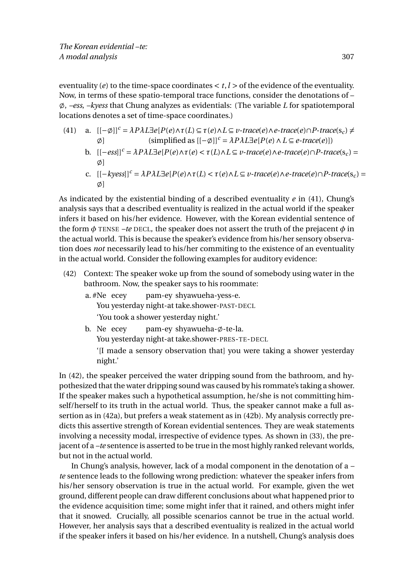eventuality (*e*) to the time-space coordinates  $\lt t$ ,  $l$  > of the evidence of the eventuality. Now, in terms of these spatio-temporal trace functions, consider the denotations of – ;, *–ess*, *–kyess* that Chung analyzes as evidentials: (The variable *L* for spatiotemporal locations denotes a set of time-space coordinates.)

- (41) a.  $[[-\emptyset]]^c = \lambda P \lambda L \exists e [P(e) \land \tau(L) \subseteq \tau(e) \land L \subseteq \nu \text{-} trace(e) \land e \text{-} trace(e) \cap P \text{-} trace(s_c) \neq \nu \text{-} trace(s_c) \land \tau(L) \subseteq \tau(e) \land \tau(L) \subseteq \nu \text{-} trace(e) \land \tau(L) \subseteq \tau(L) \land \tau(L) \subseteq \nu \text{-} trace(e) \land \tau(L) \subseteq \tau(L) \land \tau(L) \subseteq \tau(L) \land \tau(L) \subseteq \tau(L) \land \tau(L) \subseteq \tau(L) \land \tau(L) \subseteq \tau(L) \land \tau(L) \subseteq \tau(L)$  $\emptyset$ ] (simplified as  $[[-\emptyset]]^c = \lambda P \lambda L \exists e[P(e) \land L \subseteq e\text{-}trace(e)])$ 
	- b. [[−*ess*]]*<sup>c</sup>* = *λPλL*∃*e*[*P*(*e*)∧*τ*(*e*) < *τ*(*L*)∧*L* ⊆ *v-trace*(*e*)∧*e-trace*(*e*)∩*P-trace*(s*<sup>c</sup>* ) = ø1
	- c.  $[[-k\nu e s s]]^c = \lambda P \lambda L \exists e [P(e) \wedge \tau(L) < \tau(e) \wedge L \subseteq \nu \text{-} trace(e) \wedge e \text{-} trace(e) \cap P \text{-} trace(s_c)$ ø1

As indicated by the existential binding of a described eventuality *e* in (41), Chung's analysis says that a described eventuality is realized in the actual world if the speaker infers it based on his/her evidence. However, with the Korean evidential sentence of the form  $\phi$  TENSE *–te* DECL, the speaker does not assert the truth of the prejacent  $\phi$  in the actual world. This is because the speaker's evidence from his/her sensory observation does *not* necessarily lead to his/her commiting to the existence of an eventuality in the actual world. Consider the following examples for auditory evidence:

- (42) Context: The speaker woke up from the sound of somebody using water in the bathroom. Now, the speaker says to his roommate:
	- a. #Ne ecey You yesterday night-at take.shower-PAST-DECL pam-ey shyawueha-yess-e. 'You took a shower yesterday night.'
	- b. Ne ecey You yesterday night-at take.shower-PRES-TE-DECL pam-ey shyawueha-ø-te-la. '[I made a sensory observation that] you were taking a shower yesterday night.'

In (42), the speaker perceived the water dripping sound from the bathroom, and hypothesized that the water dripping sound was caused by his rommate's taking a shower. If the speaker makes such a hypothetical assumption, he/she is not committing himself/herself to its truth in the actual world. Thus, the speaker cannot make a full assertion as in (42a), but prefers a weak statement as in (42b). My analysis correctly predicts this assertive strength of Korean evidential sentences. They are weak statements involving a necessity modal, irrespective of evidence types. As shown in (33), the prejacent of a *–te* sentence is asserted to be true in the most highly ranked relevant worlds, but not in the actual world.

In Chung's analysis, however, lack of a modal component in the denotation of a *– te* sentence leads to the following wrong prediction: whatever the speaker infers from his/her sensory observation is true in the actual world. For example, given the wet ground, different people can draw different conclusions about what happened prior to the evidence acquisition time; some might infer that it rained, and others might infer that it snowed. Crucially, all possible scenarios cannot be true in the actual world. However, her analysis says that a described eventuality is realized in the actual world if the speaker infers it based on his/her evidence. In a nutshell, Chung's analysis does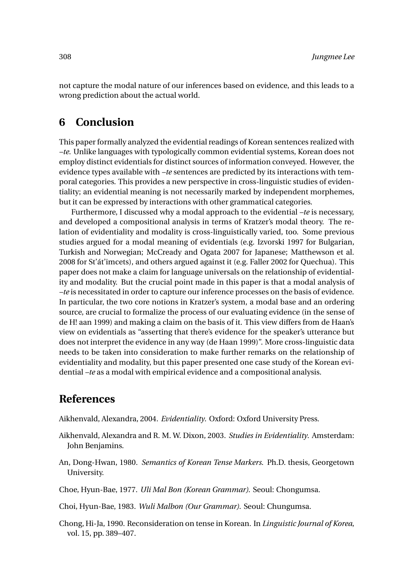not capture the modal nature of our inferences based on evidence, and this leads to a wrong prediction about the actual world.

### **6 Conclusion**

This paper formally analyzed the evidential readings of Korean sentences realized with *–te*. Unlike languages with typologically common evidential systems, Korean does not employ distinct evidentials for distinct sources of information conveyed. However, the evidence types available with *–te* sentences are predicted by its interactions with temporal categories. This provides a new perspective in cross-linguistic studies of evidentiality; an evidential meaning is not necessarily marked by independent morphemes, but it can be expressed by interactions with other grammatical categories.

Furthermore, I discussed why a modal approach to the evidential *–te* is necessary, and developed a compositional analysis in terms of Kratzer's modal theory. The relation of evidentiality and modality is cross-linguistically varied, too. Some previous studies argued for a modal meaning of evidentials (e.g. Izvorski 1997 for Bulgarian, Turkish and Norwegian; McCready and Ogata 2007 for Japanese; Matthewson et al. 2008 for St'át'imcets), and others argued against it (e.g. Faller 2002 for Quechua). This paper does not make a claim for language universals on the relationship of evidentiality and modality. But the crucial point made in this paper is that a modal analysis of *–te* is necessitated in order to capture our inference processes on the basis of evidence. In particular, the two core notions in Kratzer's system, a modal base and an ordering source, are crucial to formalize the process of our evaluating evidence (in the sense of de H! aan 1999) and making a claim on the basis of it. This view differs from de Haan's view on evidentials as "asserting that there's evidence for the speaker's utterance but does not interpret the evidence in any way (de Haan 1999)". More cross-linguistic data needs to be taken into consideration to make further remarks on the relationship of evidentiality and modality, but this paper presented one case study of the Korean evidential *–te* as a modal with empirical evidence and a compositional analysis.

### **References**

Aikhenvald, Alexandra, 2004. *Evidentiality*. Oxford: Oxford University Press.

- Aikhenvald, Alexandra and R. M. W. Dixon, 2003. *Studies in Evidentiality*. Amsterdam: John Benjamins.
- An, Dong-Hwan, 1980. *Semantics of Korean Tense Markers*. Ph.D. thesis, Georgetown University.
- Choe, Hyun-Bae, 1977. *Uli Mal Bon (Korean Grammar)*. Seoul: Chongumsa.

Choi, Hyun-Bae, 1983. *Wuli Malbon (Our Grammar)*. Seoul: Chungumsa.

Chong, Hi-Ja, 1990. Reconsideration on tense in Korean. In *Linguistic Journal of Korea*, vol. 15, pp. 389–407.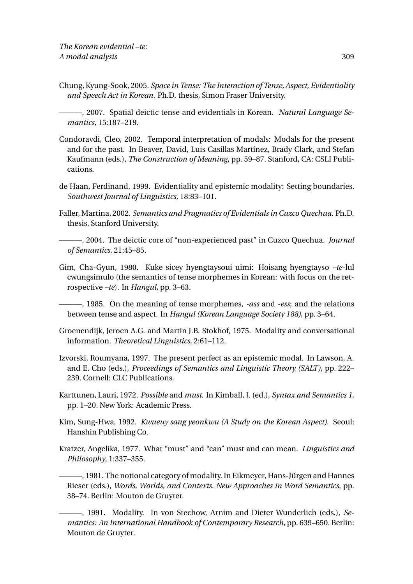Chung, Kyung-Sook, 2005. *Space in Tense: The Interaction of Tense, Aspect, Evidentiality and Speech Act in Korean.* Ph.D. thesis, Simon Fraser University.

———, 2007. Spatial deictic tense and evidentials in Korean. *Natural Language Semantics*, 15:187–219.

- Condoravdi, Cleo, 2002. Temporal interpretation of modals: Modals for the present and for the past. In Beaver, David, Luis Casillas Martínez, Brady Clark, and Stefan Kaufmann (eds.), *The Construction of Meaning*, pp. 59–87. Stanford, CA: CSLI Publications.
- de Haan, Ferdinand, 1999. Evidentiality and epistemic modality: Setting boundaries. *Southwest Journal of Linguistics*, 18:83–101.
- Faller, Martina, 2002. *Semantics and Pragmatics of Evidentials in Cuzco Quechua*. Ph.D. thesis, Stanford University.

———, 2004. The deictic core of "non-experienced past" in Cuzco Quechua. *Journal of Semantics*, 21:45–85.

Gim, Cha-Gyun, 1980. Kuke sicey hyengtaysoui uimi: Hoisang hyengtayso *–te*-lul cwungsimulo (the semantics of tense morphemes in Korean: with focus on the retrospective *–te*). In *Hangul*, pp. 3–63.

———, 1985. On the meaning of tense morphemes, *-ass* and *-ess*; and the relations between tense and aspect. In *Hangul (Korean Language Society 188)*, pp. 3–64.

- Groenendijk, Jeroen A.G. and Martin J.B. Stokhof, 1975. Modality and conversational information. *Theoretical Linguistics*, 2:61–112.
- Izvorski, Roumyana, 1997. The present perfect as an epistemic modal. In Lawson, A. and E. Cho (eds.), *Proceedings of Semantics and Linguistic Theory (SALT)*, pp. 222– 239. Cornell: CLC Publications.
- Karttunen, Lauri, 1972. *Possible* and *must*. In Kimball, J. (ed.), *Syntax and Semantics 1*, pp. 1–20. New York: Academic Press.
- Kim, Sung-Hwa, 1992. *Kwueuy sang yeonkwu (A Study on the Korean Aspect)*. Seoul: Hanshin Publishing Co.
- Kratzer, Angelika, 1977. What "must" and "can" must and can mean. *Linguistics and Philosophy*, 1:337–355.
	- ———, 1981. The notional category of modality. In Eikmeyer, Hans-Jürgen and Hannes Rieser (eds.), *Words, Worlds, and Contexts. New Approaches in Word Semantics*, pp. 38–74. Berlin: Mouton de Gruyter.
	- ———, 1991. Modality. In von Stechow, Arnim and Dieter Wunderlich (eds.), *Semantics: An International Handbook of Contemporary Research*, pp. 639–650. Berlin: Mouton de Gruyter.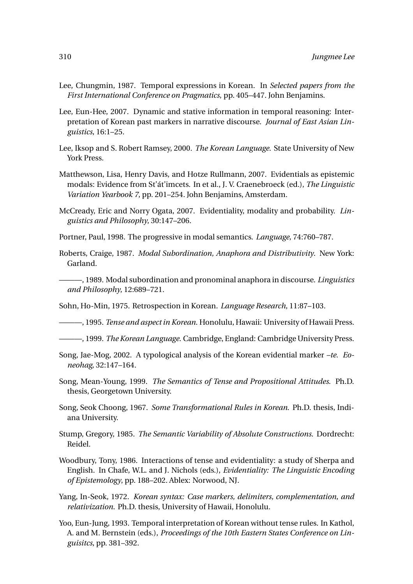- Lee, Chungmin, 1987. Temporal expressions in Korean. In *Selected papers from the First International Conference on Pragmatics*, pp. 405–447. John Benjamins.
- Lee, Eun-Hee, 2007. Dynamic and stative information in temporal reasoning: Interpretation of Korean past markers in narrative discourse. *Journal of East Asian Linguistics*, 16:1–25.
- Lee, Iksop and S. Robert Ramsey, 2000. *The Korean Language*. State University of New York Press.
- Matthewson, Lisa, Henry Davis, and Hotze Rullmann, 2007. Evidentials as epistemic modals: Evidence from St'át'imcets. In et al., J. V. Craenebroeck (ed.), *The Linguistic Variation Yearbook 7*, pp. 201–254. John Benjamins, Amsterdam.
- McCready, Eric and Norry Ogata, 2007. Evidentiality, modality and probability. *Linguistics and Philosophy*, 30:147–206.
- Portner, Paul, 1998. The progressive in modal semantics. *Language*, 74:760–787.
- Roberts, Craige, 1987. *Modal Subordination, Anaphora and Distributivity*. New York: Garland.
- ———, 1989. Modal subordination and pronominal anaphora in discourse. *Linguistics and Philosophy*, 12:689–721.
- Sohn, Ho-Min, 1975. Retrospection in Korean. *Language Research*, 11:87–103.
- ———, 1995. *Tense and aspect in Korean*. Honolulu, Hawaii: University of Hawaii Press.
- ———, 1999. *The Korean Language*. Cambridge, England: Cambridge University Press.
- Song, Jae-Mog, 2002. A typological analysis of the Korean evidential marker *–te*. *Eoneohag*, 32:147–164.
- Song, Mean-Young, 1999. *The Semantics of Tense and Propositional Attitudes*. Ph.D. thesis, Georgetown University.
- Song, Seok Choong, 1967. *Some Transformational Rules in Korean*. Ph.D. thesis, Indiana University.
- Stump, Gregory, 1985. *The Semantic Variability of Absolute Constructions*. Dordrecht: Reidel.
- Woodbury, Tony, 1986. Interactions of tense and evidentiality: a study of Sherpa and English. In Chafe, W.L. and J. Nichols (eds.), *Evidentiality: The Linguistic Encoding of Epistemology*, pp. 188–202. Ablex: Norwood, NJ.
- Yang, In-Seok, 1972. *Korean syntax: Case markers, delimiters, complementation, and relativization*. Ph.D. thesis, University of Hawaii, Honolulu.
- Yoo, Eun-Jung, 1993. Temporal interpretation of Korean without tense rules. In Kathol, A. and M. Bernstein (eds.), *Proceedings of the 10th Eastern States Conference on Linguisitcs*, pp. 381–392.